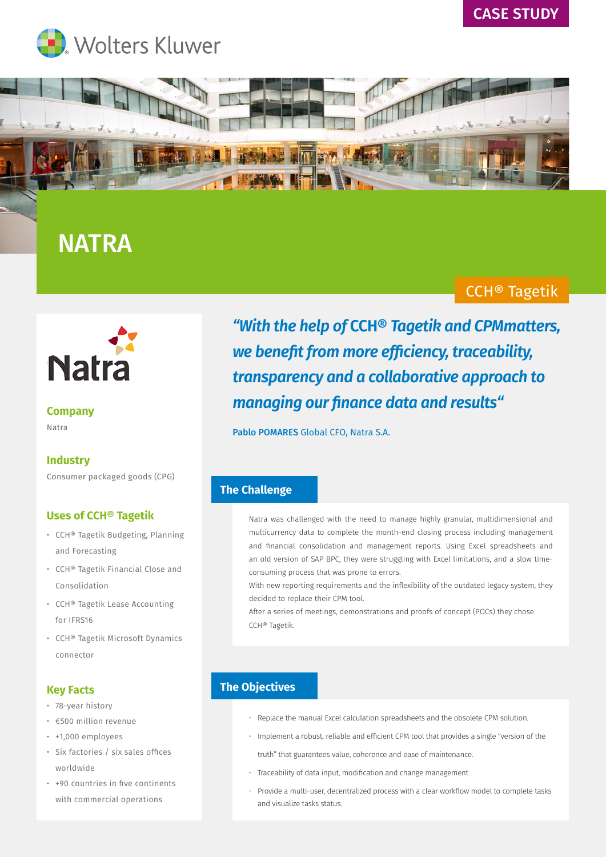





# **NATRA**

## CCH® Tagetik



#### **Company** Natra

## **Industry**

Consumer packaged goods (CPG)

#### **Uses of CCH® Tagetik**

- CCH® Tagetik Budgeting, Planning and Forecasting
- CCH® Tagetik Financial Close and Consolidation
- CCH® Tagetik Lease Accounting for IFRS16
- CCH® Tagetik Microsoft Dynamics connector

## **Key Facts**

- 78-year history
- €500 million revenue
- +1,000 employees
- Six factories / six sales offices worldwide
- +90 countries in five continents with commercial operations

*"With the help of* **CCH®** *Tagetik and CPMmatters, we benefit from more efficiency, traceability, transparency and a collaborative approach to managing our finance data and results"*

Pablo POMARES Global CFO, Natra S.A.

## **The Challenge**

Natra was challenged with the need to manage highly granular, multidimensional and multicurrency data to complete the month-end closing process including management and financial consolidation and management reports. Using Excel spreadsheets and an old version of SAP BPC, they were struggling with Excel limitations, and a slow timeconsuming process that was prone to errors.

With new reporting requirements and the inflexibility of the outdated legacy system, they decided to replace their CPM tool.

After a series of meetings, demonstrations and proofs of concept (POCs) they chose CCH® Tagetik.

## **The Objectives**

- Replace the manual Excel calculation spreadsheets and the obsolete CPM solution.
- Implement a robust, reliable and efficient CPM tool that provides a single "version of the truth" that guarantees value, coherence and ease of maintenance.
- Traceability of data input, modification and change management.
- Provide a multi-user, decentralized process with a clear workflow model to complete tasks and visualize tasks status.